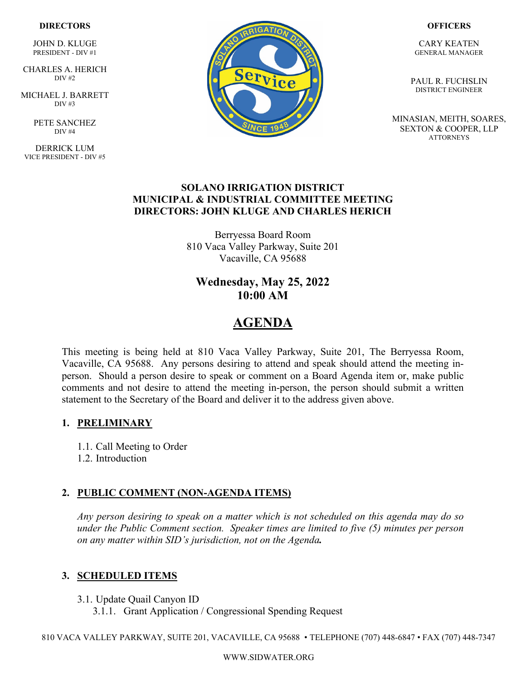#### **DIRECTORS**

JOHN D. KLUGE PRESIDENT - DIV #1

 CHARLES A. HERICH DIV #2

MICHAEL J. BARRETT  $DIV#3$ 

> PETE SANCHEZ DIV #4

DERRICK LUM VICE PRESIDENT - DIV #5



#### **OFFICERS**

CARY KEATEN GENERAL MANAGER

PAUL R. FUCHSLIN DISTRICT ENGINEER

MINASIAN, MEITH, SOARES, SEXTON & COOPER, LLP ATTORNEYS

### **SOLANO IRRIGATION DISTRICT MUNICIPAL & INDUSTRIAL COMMITTEE MEETING DIRECTORS: JOHN KLUGE AND CHARLES HERICH**

Berryessa Board Room 810 Vaca Valley Parkway, Suite 201 Vacaville, CA 95688

## **Wednesday, May 25, 2022 10:00 AM**

## **AGENDA**

This meeting is being held at 810 Vaca Valley Parkway, Suite 201, The Berryessa Room, Vacaville, CA 95688. Any persons desiring to attend and speak should attend the meeting inperson. Should a person desire to speak or comment on a Board Agenda item or, make public comments and not desire to attend the meeting in-person, the person should submit a written statement to the Secretary of the Board and deliver it to the address given above.

### **1. PRELIMINARY**

1.1. Call Meeting to Order

1.2. Introduction

### **2. PUBLIC COMMENT (NON-AGENDA ITEMS)**

*Any person desiring to speak on a matter which is not scheduled on this agenda may do so under the Public Comment section. Speaker times are limited to five (5) minutes per person on any matter within SID's jurisdiction, not on the Agenda.* 

### **3. SCHEDULED ITEMS**

3.1. Update Quail Canyon ID

3.1.1. Grant Application / Congressional Spending Request

810 VACA VALLEY PARKWAY, SUITE 201, VACAVILLE, CA 95688 • TELEPHONE (707) 448-6847 • FAX (707) 448-7347